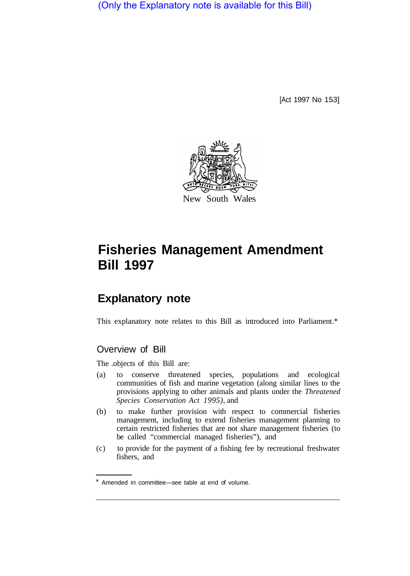(Only the Explanatory note is available for this Bill)

[Act 1997 No 153]



# **Fisheries Management Amendment Bill 1997**

# **Explanatory note**

This explanatory note relates to this Bill as introduced into Parliament.\*

# Overview of Bill

The .objects of this Bill are:

- (a) to conserve threatened species, populations and ecological communities of fish and marine vegetation (along similar lines to the provisions applying to other animals and plants under the *Threatened Species Conservation Act 1995),* and
- (b) to make further provision with respect to commercial fisheries management, including to extend fisheries management planning to certain restricted fisheries that are not share management fisheries (to be called "commercial managed fisheries"), and
- (c) to provide for the payment of a fishing fee by recreational freshwater fishers, and

Amended in committee—see table at end of volume.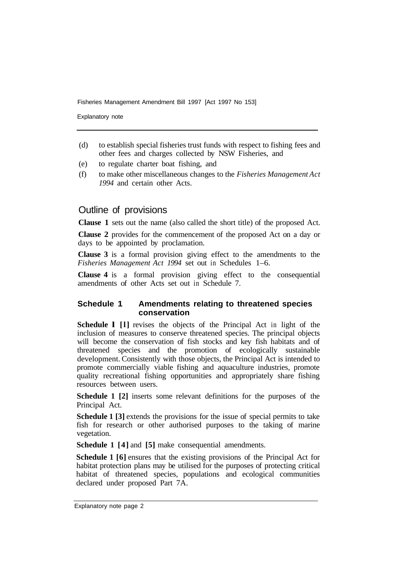Explanatory note

- (d) to establish special fisheries trust funds with respect to fishing fees and other fees and charges collected by NSW Fisheries, and
- (e) to regulate charter boat fishing, and
- (f) to make other miscellaneous changes to the *Fisheries Management Act 1994* and certain other Acts.

# Outline of provisions

**Clause 1** sets out the name (also called the short title) of the proposed Act.

**Clause 2** provides for the commencement of the proposed Act on a day or days to be appointed by proclamation.

**Clause 3** is a formal provision giving effect to the amendments to the *Fisheries Management Act 1994* set out in Schedules 1–6.

**Clause 4** is a formal provision giving effect to the consequential amendments of other Acts set out in Schedule 7.

#### **Schedule 1 Amendments relating to threatened species conservation**

**Schedule l [l]** revises the objects of the Principal Act in light of the inclusion of measures to conserve threatened species. The principal objects will become the conservation of fish stocks and key fish habitats and of threatened species and the promotion of ecologically sustainable development. Consistently with those objects, the Principal Act is intended to promote commercially viable fishing and aquaculture industries, promote quality recreational fishing opportunities and appropriately share fishing resources between users.

**Schedule 1 [2]** inserts some relevant definitions for the purposes of the Principal Act.

**Schedule 1 [3]** extends the provisions for the issue of special permits to take fish for research or other authorised purposes to the taking of marine vegetation.

**Schedule 1 [4]** and **[5]** make consequential amendments.

**Schedule 1 [6]** ensures that the existing provisions of the Principal Act for habitat protection plans may be utilised for the purposes of protecting critical habitat of threatened species, populations and ecological communities declared under proposed Part 7A.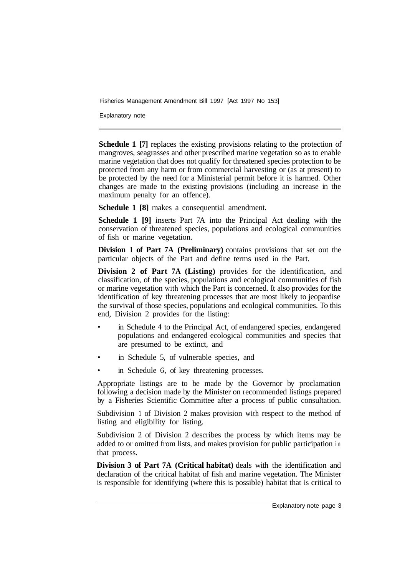Explanatory note

**Schedule 1 [7]** replaces the existing provisions relating to the protection of mangroves, seagrasses and other prescribed marine vegetation so as to enable marine vegetation that does not qualify for threatened species protection to be protected from any harm or from commercial harvesting or (as at present) to be protected by the need for a Ministerial permit before it is harmed. Other changes are made to the existing provisions (including an increase in the maximum penalty for an offence).

**Schedule 1 [8]** makes a consequential amendment.

**Schedule 1 [9]** inserts Part 7A into the Principal Act dealing with the conservation of threatened species, populations and ecological communities of fish or marine vegetation.

**Division 1 of Part 7A (Preliminary)** contains provisions that set out the particular objects of the Part and define terms used in the Part.

**Division 2 of Part 7A (Listing)** provides for the identification, and classification, of the species, populations and ecological communities of fish or marine vegetation with which the Part is concerned. It also provides for the identification of key threatening processes that are most likely to jeopardise the survival of those species, populations and ecological communities. To this end, Division 2 provides for the listing:

- in Schedule 4 to the Principal Act, of endangered species, endangered populations and endangered ecological communities and species that are presumed to be extinct, and
- in Schedule 5, of vulnerable species, and
- in Schedule 6, of key threatening processes.

Appropriate listings are to be made by the Governor by proclamation following a decision made by the Minister on recommended listings prepared by a Fisheries Scientific Committee after a process of public consultation.

Subdivision 1 of Division 2 makes provision with respect to the method of listing and eligibility for listing.

Subdivision 2 of Division 2 describes the process by which items may be added to or omitted from lists, and makes provision for public participation in that process.

**Division 3 of Part 7A (Critical habitat)** deals with the identification and declaration of the critical habitat of fish and marine vegetation. The Minister is responsible for identifying (where this is possible) habitat that is critical to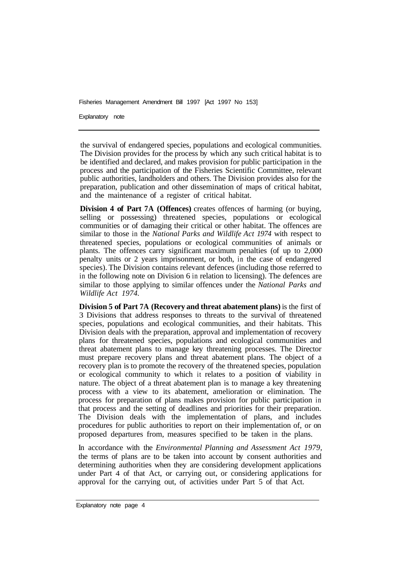Explanatory note

the survival of endangered species, populations and ecological communities. The Division provides for the process by which any such critical habitat is to be identified and declared, and makes provision for public participation in the process and the participation of the Fisheries Scientific Committee, relevant public authorities, landholders and others. The Division provides also for the preparation, publication and other dissemination of maps of critical habitat, and the maintenance of a register of critical habitat.

**Division 4 of Part 7A (Offences)** creates offences of harming (or buying, selling or possessing) threatened species, populations or ecological communities or of damaging their critical or other habitat. The offences are similar to those in the *National Parks and Wildlife Act 1974* with respect to threatened species, populations or ecological communities of animals or plants. The offences carry significant maximum penalties (of up to 2,000 penalty units or 2 years imprisonment, or both, in the case of endangered species). The Division contains relevant defences (including those referred to in the following note on Division 6 in relation to licensing). The defences are similar to those applying to similar offences under the *National Parks and Wildlife Act 1974.* 

**Division 5 of Part 7A (Recovery and threat abatement plans)** is the first of 3 Divisions that address responses to threats to the survival of threatened species, populations and ecological communities, and their habitats. This Division deals with the preparation, approval and implementation of recovery plans for threatened species, populations and ecological communities and threat abatement plans to manage key threatening processes. The Director must prepare recovery plans and threat abatement plans. The object of a recovery plan is to promote the recovery of the threatened species, population or ecological community to which it relates to a position of viability in nature. The object of a threat abatement plan is to manage a key threatening process with a view to its abatement, amelioration or elimination. The process for preparation of plans makes provision for public participation in that process and the setting of deadlines and priorities for their preparation. The Division deals with the implementation of plans, and includes procedures for public authorities to report on their implementation of, or on proposed departures from, measures specified to be taken in the plans.

In accordance with the *Environmental Planning and Assessment Act 1979,*  the terms of plans are to be taken into account by consent authorities and determining authorities when they are considering development applications under Part 4 of that Act, or carrying out, or considering applications for approval for the carrying out, of activities under Part 5 of that Act.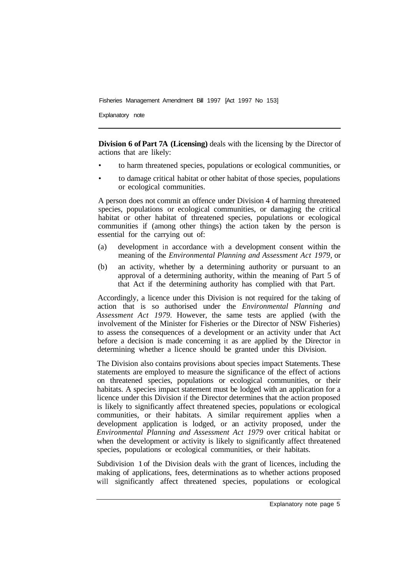Explanatory note

**Division 6 of Part 7A (Licensing)** deals with the licensing by the Director of actions that are likely:

- to harm threatened species, populations or ecological communities, or
- to damage critical habitat or other habitat of those species, populations or ecological communities.

A person does not commit an offence under Division 4 of harming threatened species, populations or ecological communities, or damaging the critical habitat or other habitat of threatened species, populations or ecological communities if (among other things) the action taken by the person is essential for the carrying out of:

- (a) development in accordance with a development consent within the meaning of the *Environmental Planning and Assessment Act 1979,* or
- (b) an activity, whether by a determining authority or pursuant to an approval of a determining authority, within the meaning of Part 5 of that Act if the determining authority has complied with that Part.

Accordingly, a licence under this Division is not required for the taking of action that is so authorised under the *Environmental Planning and Assessment Act 1979.* However, the same tests are applied (with the involvement of the Minister for Fisheries or the Director of NSW Fisheries) to assess the consequences of a development or an activity under that Act before a decision is made concerning it as are applied by the Director in determining whether a licence should be granted under this Division.

The Division also contains provisions about species impact Statements. These statements are employed to measure the significance of the effect of actions on threatened species, populations or ecological communities, or their habitats. A species impact statement must be lodged with an application for a licence under this Division if the Director determines that the action proposed is likely to significantly affect threatened species, populations or ecological communities, or their habitats. A similar requirement applies when a development application is lodged, or an activity proposed, under the *Environmental Planning and Assessment Act 1979* over critical habitat or when the development or activity is likely to significantly affect threatened species, populations or ecological communities, or their habitats.

Subdivision 1 of the Division deals with the grant of licences, including the making of applications, fees, determinations as to whether actions proposed will significantly affect threatened species, populations or ecological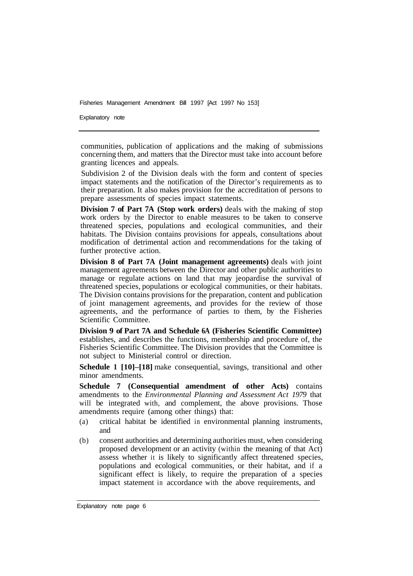Explanatory note

communities, publication of applications and the making of submissions concerning them, and matters that the Director must take into account before granting licences and appeals.

Subdivision 2 of the Division deals with the form and content of species impact statements and the notification of the Director's requirements as to their preparation. It also makes provision for the accreditation of persons to prepare assessments of species impact statements.

**Division 7 of Part 7A (Stop work orders)** deals with the making of stop work orders by the Director to enable measures to be taken to conserve threatened species, populations and ecological communities, and their habitats. The Division contains provisions for appeals, consultations about modification of detrimental action and recommendations for the taking of further protective action.

**Division 8 of Part 7A (Joint management agreements)** deals with joint management agreements between the Director and other public authorities to manage or regulate actions on land that may jeopardise the survival of threatened species, populations or ecological communities, or their habitats. The Division contains provisions for the preparation, content and publication of joint management agreements, and provides for the review of those agreements, and the performance of parties to them, by the Fisheries Scientific Committee.

**Division 9 of Part 7A and Schedule 6A (Fisheries Scientific Committee)**  establishes, and describes the functions, membership and procedure of, the Fisheries Scientific Committee. The Division provides that the Committee is not subject to Ministerial control or direction.

**Schedule 1 [10]–[18]** make consequential, savings, transitional and other minor amendments.

**Schedule 7 (Consequential amendment of other Acts)** contains amendments to the *Environmental Planning and Assessment Act 1979* that will be integrated with, and complement, the above provisions. Those amendments require (among other things) that:

- (a) critical habitat be identified in environmental planning instruments, and
- (b) consent authorities and determining authorities must, when considering proposed development or an activity (within the meaning of that Act) assess whether it is likely to significantly affect threatened species, populations and ecological communities, or their habitat, and if a significant effect is likely, to require the preparation of a species impact statement in accordance with the above requirements, and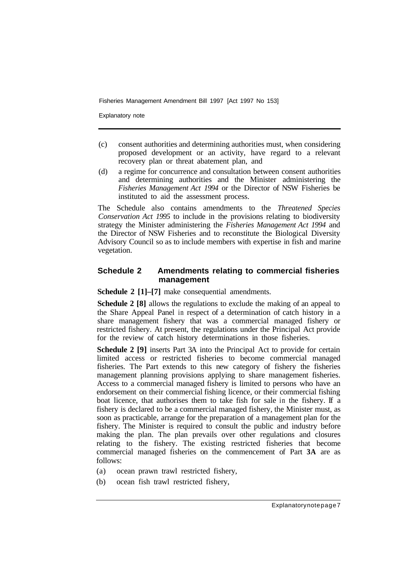Explanatory note

- (c) consent authorities and determining authorities must, when considering proposed development or an activity, have regard to a relevant recovery plan or threat abatement plan, and
- (d) a regime for concurrence and consultation between consent authorities and determining authorities and the Minister administering the *Fisheries Management Act 1994* or the Director of NSW Fisheries be instituted to aid the assessment process.

The Schedule also contains amendments to the *Threatened Species Conservation Act 1995* to include in the provisions relating to biodiversity strategy the Minister administering the *Fisheries Management Act 1994* and the Director of NSW Fisheries and to reconstitute the Biological Diversity Advisory Council so as to include members with expertise in fish and marine vegetation.

# **Schedule 2 Amendments relating to commercial fisheries management**

**Schedule 2 [1]–[7]** make consequential amendments.

**Schedule 2 [8]** allows the regulations to exclude the making of an appeal to the Share Appeal Panel in respect of a determination of catch history in a share management fishery that was a commercial managed fishery or restricted fishery. At present, the regulations under the Principal Act provide for the review of catch history determinations in those fisheries.

**Schedule 2 [9]** inserts Part 3A into the Principal Act to provide for certain limited access or restricted fisheries to become commercial managed fisheries. The Part extends to this new category of fishery the fisheries management planning provisions applying to share management fisheries. Access to a commercial managed fishery is limited to persons who have an endorsement on their commercial fishing licence, or their commercial fishing boat licence, that authorises them to take fish for sale in the fishery. If a fishery is declared to be a commercial managed fishery, the Minister must, as soon as practicable, arrange for the preparation of a management plan for the fishery. The Minister is required to consult the public and industry before making the plan. The plan prevails over other regulations and closures relating to the fishery. The existing restricted fisheries that become commercial managed fisheries on the commencement of Part **3A** are as follows:

- (a) ocean prawn trawl restricted fishery,
- (b) ocean fish trawl restricted fishery,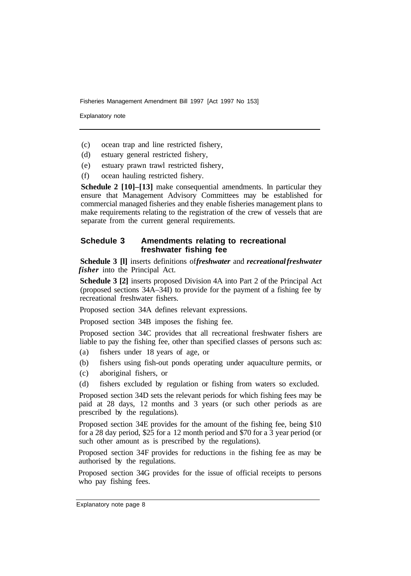Explanatory note

- (c) ocean trap and line restricted fishery,
- (d) estuary general restricted fishery,
- (e) estuary prawn trawl restricted fishery,
- (f) ocean hauling restricted fishery.

**Schedule 2 [10]–[13]** make consequential amendments. In particular they ensure that Management Advisory Committees may be established for commercial managed fisheries and they enable fisheries management plans to make requirements relating to the registration of the crew of vessels that are separate from the current general requirements.

#### **Schedule 3 Amendments relating to recreational freshwater fishing fee**

**Schedule 3 [l]** inserts definitions of *freshwater* and *recreational freshwater fisher* into the Principal Act.

**Schedule 3 [2]** inserts proposed Division 4A into Part 2 of the Principal Act (proposed sections 34A–34I) to provide for the payment of a fishing fee by recreational freshwater fishers.

Proposed section 34A defines relevant expressions.

Proposed section 34B imposes the fishing fee.

Proposed section 34C provides that all recreational freshwater fishers are liable to pay the fishing fee, other than specified classes of persons such as:

- (a) fishers under 18 years of age, or
- (b) fishers using fish-out ponds operating under aquaculture permits, or
- (c) aboriginal fishers, or
- (d) fishers excluded by regulation or fishing from waters so excluded.

Proposed section 34D sets the relevant periods for which fishing fees may be paid at 28 days, 12 months and 3 years (or such other periods as are prescribed by the regulations).

Proposed section 34E provides for the amount of the fishing fee, being \$10 for a 28 day period, \$25 for a 12 month period and \$70 for a 3 year period (or such other amount as is prescribed by the regulations).

Proposed section 34F provides for reductions in the fishing fee as may be authorised by the regulations.

Proposed section 34G provides for the issue of official receipts to persons who pay fishing fees.

Explanatory note page 8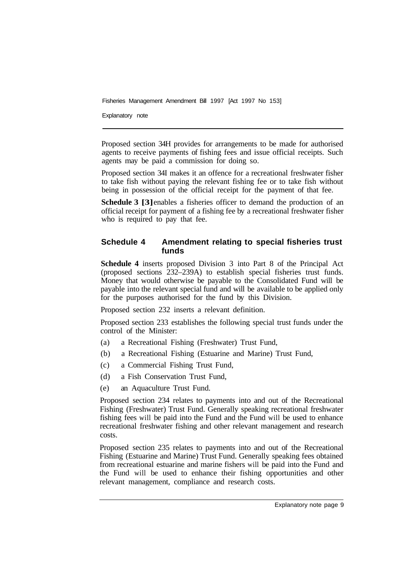Explanatory note

Proposed section 34H provides for arrangements to be made for authorised agents to receive payments of fishing fees and issue official receipts. Such agents may be paid a commission for doing so.

Proposed section 34I makes it an offence for a recreational freshwater fisher to take fish without paying the relevant fishing fee or to take fish without being in possession of the official receipt for the payment of that fee.

Schedule 3 [3] enables a fisheries officer to demand the production of an official receipt for payment of a fishing fee by a recreational freshwater fisher who is required to pay that fee.

## **Schedule 4 Amendment relating to special fisheries trust funds**

**Schedule 4** inserts proposed Division 3 into Part 8 of the Principal Act (proposed sections 232–239A) to establish special fisheries trust funds. Money that would otherwise be payable to the Consolidated Fund will be payable into the relevant special fund and will be available to be applied only for the purposes authorised for the fund by this Division.

Proposed section 232 inserts a relevant definition.

Proposed section 233 establishes the following special trust funds under the control of the Minister:

- (a) a Recreational Fishing (Freshwater) Trust Fund,
- (b) a Recreational Fishing (Estuarine and Marine) Trust Fund,
- (c) a Commercial Fishing Trust Fund,
- (d) a Fish Conservation Trust Fund,
- (e) an Aquaculture Trust Fund.

Proposed section 234 relates to payments into and out of the Recreational Fishing (Freshwater) Trust Fund. Generally speaking recreational freshwater fishing fees will be paid into the Fund and the Fund will be used to enhance recreational freshwater fishing and other relevant management and research costs.

Proposed section 235 relates to payments into and out of the Recreational Fishing (Estuarine and Marine) Trust Fund. Generally speaking fees obtained from recreational estuarine and marine fishers will be paid into the Fund and the Fund will be used to enhance their fishing opportunities and other relevant management, compliance and research costs.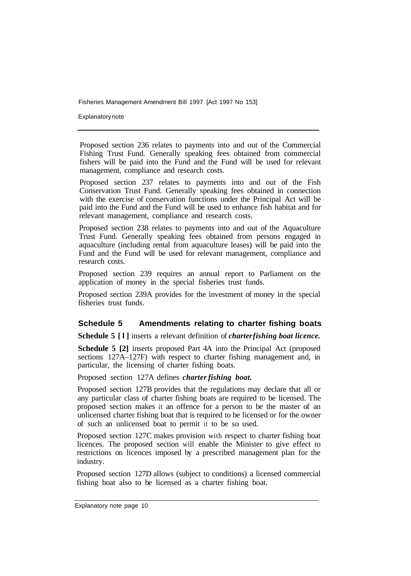Explanatory note

Proposed section 236 relates to payments into and out of the Commercial Fishing Trust Fund. Generally speaking fees obtained from commercial fishers will be paid into the Fund and the Fund will be used for relevant management, compliance and research costs.

Proposed section 237 relates to payments into and out of the Fish Conservation Trust Fund. Generally speaking fees obtained in connection with the exercise of conservation functions under the Principal Act will be paid into the Fund and the Fund will be used to enhance fish habitat and for relevant management, compliance and research costs.

Proposed section 238 relates to payments into and out of the Aquaculture Trust Fund. Generally speaking fees obtained from persons engaged in aquaculture (including rental from aquaculture leases) will be paid into the Fund and the Fund will be used for relevant management, compliance and research costs.

Proposed section 239 requires an annual report to Parliament on the application of money in the special fisheries trust funds.

Proposed section 239A provides for the investment of money in the special fisheries trust funds.

#### **Schedule 5 Amendments relating to charter fishing boats**

**Schedule 5 [l]** inserts a relevant definition of *charter fishing boat licence.* 

**Schedule 5 [2]** inserts proposed Part 4A into the Principal Act (proposed sections 127A–127F) with respect to charter fishing management and, in particular, the licensing of charter fishing boats.

Proposed section 127A defines *charter fishing boat.* 

Proposed section 127B provides that the regulations may declare that all or any particular class of charter fishing boats are required to be licensed. The proposed section makes it an offence for a person to be the master of an unlicensed charter fishing boat that is required to be licensed or for the owner of such an unlicensed boat to permit it to be so used.

Proposed section 127C makes provision with respect to charter fishing boat licences. The proposed section will enable the Minister to give effect to restrictions on licences imposed by a prescribed management plan for the industry.

Proposed section 127D allows (subject to conditions) a licensed commercial fishing boat also to be licensed as a charter fishing boat.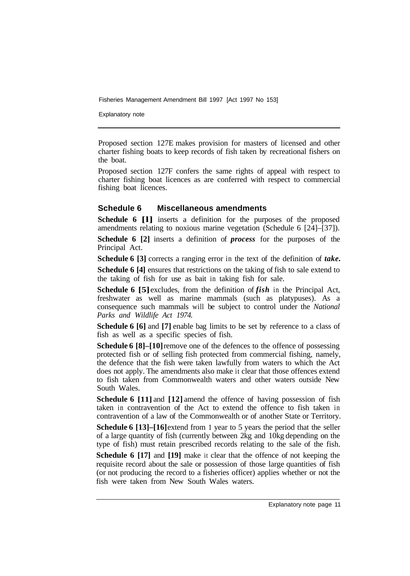Explanatory note

Proposed section 127E makes provision for masters of licensed and other charter fishing boats to keep records of fish taken by recreational fishers on the boat.

Proposed section 127F confers the same rights of appeal with respect to charter fishing boat licences as are conferred with respect to commercial fishing boat licences.

#### **Schedule 6 Miscellaneous amendments**

**Schedule 6 [I]** inserts a definition for the purposes of the proposed amendments relating to noxious marine vegetation (Schedule 6  $[24]$ – $[37]$ ).

**Schedule 6 [2]** inserts a definition of *process* for the purposes of the Principal Act.

**Schedule 6 [3]** corrects a ranging error in the text of the definition of *take.* 

**Schedule 6 [4]** ensures that restrictions on the taking of fish to sale extend to the taking of fish for use as bait in taking fish for sale.

**Schedule 6 [5]** excludes, from the definition of *fish* in the Principal Act, freshwater as well as marine mammals (such as platypuses). As a consequence such mammals will be subject to control under the *National Parks and Wildlife Act 1974.* 

**Schedule 6 [6]** and **[7]** enable bag limits to be set by reference to a class of fish as well as a specific species of fish.

**Schedule 6 [8]–[10]** remove one of the defences to the offence of possessing protected fish or of selling fish protected from commercial fishing, namely, the defence that the fish were taken lawfully from waters to which the Act does not apply. The amendments also make it clear that those offences extend to fish taken from Commonwealth waters and other waters outside New South Wales.

**Schedule 6 [11]** and **[12]** amend the offence of having possession of fish taken in contravention of the Act to extend the offence to fish taken in contravention of a law of the Commonwealth or of another State or Territory.

**Schedule 6 [13]–[16] extend from 1 year to 5 years the period that the seller** of a large quantity of fish (currently between 2kg and 10kg depending on the type of fish) must retain prescribed records relating to the sale of the fish.

**Schedule 6 [17]** and **[19]** make it clear that the offence of not keeping the requisite record about the sale or possession of those large quantities of fish (or not producing the record to a fisheries officer) applies whether or not the fish were taken from New South Wales waters.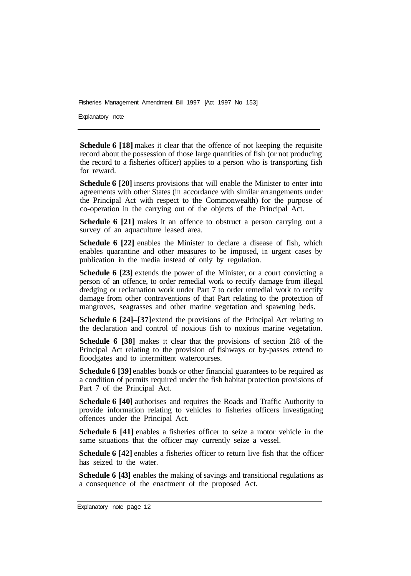Explanatory note

**Schedule 6 [18]** makes it clear that the offence of not keeping the requisite record about the possession of those large quantities of fish (or not producing the record to a fisheries officer) applies to a person who is transporting fish for reward.

**Schedule 6 [20]** inserts provisions that will enable the Minister to enter into agreements with other States (in accordance with similar arrangements under the Principal Act with respect to the Commonwealth) for the purpose of co-operation in the carrying out of the objects of the Principal Act.

**Schedule 6 [21]** makes it an offence to obstruct a person carrying out a survey of an aquaculture leased area.

**Schedule 6 [22]** enables the Minister to declare a disease of fish, which enables quarantine and other measures to be imposed, in urgent cases by publication in the media instead of only by regulation.

**Schedule 6 [23]** extends the power of the Minister, or a court convicting a person of an offence, to order remedial work to rectify damage from illegal dredging or reclamation work under Part 7 to order remedial work to rectify damage from other contraventions of that Part relating to the protection of mangroves, seagrasses and other marine vegetation and spawning beds.

**Schedule 6 [24]–[37]** extend the provisions of the Principal Act relating to the declaration and control of noxious fish to noxious marine vegetation.

**Schedule 6 [38]** makes it clear that the provisions of section 218 of the Principal Act relating to the provision of fishways or by-passes extend to floodgates and to intermittent watercourses.

**Schedule 6 [39]** enables bonds or other financial guarantees to be required as a condition of permits required under the fish habitat protection provisions of Part 7 of the Principal Act.

**Schedule 6 [40]** authorises and requires the Roads and Traffic Authority to provide information relating to vehicles to fisheries officers investigating offences under the Principal Act.

**Schedule 6 [41]** enables a fisheries officer to seize a motor vehicle in the same situations that the officer may currently seize a vessel.

**Schedule 6 [42]** enables a fisheries officer to return live fish that the officer has seized to the water.

**Schedule 6 [43]** enables the making of savings and transitional regulations as a consequence of the enactment of the proposed Act.